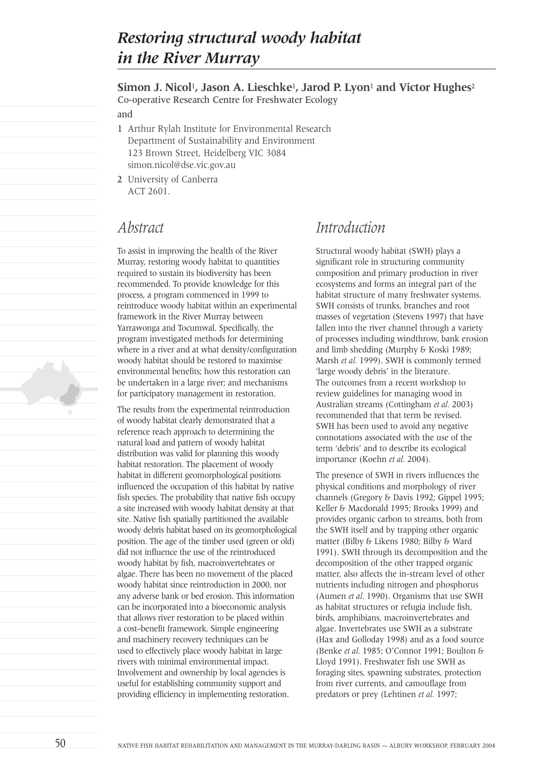# *Restoring structural woody habitat in the River Murray*

**Simon J. Nicol**1**, Jason A. Lieschke**1**, Jarod P. Lyon**<sup>1</sup> **and Victor Hughes**<sup>2</sup> Co-operative Research Centre for Freshwater Ecology

and

- 1 Arthur Rylah Institute for Environmental Research Department of Sustainability and Environment 123 Brown Street, Heidelberg VIC 3084 simon.nicol@dse.vic.gov.au
- 2 University of Canberra ACT 2601.

## *Abstract*

To assist in improving the health of the River Murray, restoring woody habitat to quantities required to sustain its biodiversity has been recommended. To provide knowledge for this process, a program commenced in 1999 to reintroduce woody habitat within an experimental framework in the River Murray between Yarrawonga and Tocumwal. Specifically, the program investigated methods for determining where in a river and at what density/configuration woody habitat should be restored to maximise environmental benefits; how this restoration can be undertaken in a large river; and mechanisms for participatory management in restoration.

The results from the experimental reintroduction of woody habitat clearly demonstrated that a reference reach approach to determining the natural load and pattern of woody habitat distribution was valid for planning this woody habitat restoration. The placement of woody habitat in different geomorphological positions influenced the occupation of this habitat by native fish species. The probability that native fish occupy a site increased with woody habitat density at that site. Native fish spatially partitioned the available woody debris habitat based on its geomorphological position. The age of the timber used (green or old) did not influence the use of the reintroduced woody habitat by fish, macroinvertebrates or algae. There has been no movement of the placed woody habitat since reintroduction in 2000, nor any adverse bank or bed erosion. This information can be incorporated into a bioeconomic analysis that allows river restoration to be placed within a cost–benefit framework. Simple engineering and machinery recovery techniques can be used to effectively place woody habitat in large rivers with minimal environmental impact. Involvement and ownership by local agencies is useful for establishing community support and providing efficiency in implementing restoration.

# *Introduction*

Structural woody habitat (SWH) plays a significant role in structuring community composition and primary production in river ecosystems and forms an integral part of the habitat structure of many freshwater systems. SWH consists of trunks, branches and root masses of vegetation (Stevens 1997) that have fallen into the river channel through a variety of processes including windthrow, bank erosion and limb shedding (Murphy & Koski 1989; Marsh *et al.* 1999). SWH is commonly termed 'large woody debris' in the literature. The outcomes from a recent workshop to review guidelines for managing wood in Australian streams (Cottingham *et al.* 2003) recommended that that term be revised. SWH has been used to avoid any negative connotations associated with the use of the term 'debris' and to describe its ecological importance (Koehn *et al.* 2004).

The presence of SWH in rivers influences the physical conditions and morphology of river channels (Gregory & Davis 1992; Gippel 1995; Keller & Macdonald 1995; Brooks 1999) and provides organic carbon to streams, both from the SWH itself and by trapping other organic matter (Bilby & Likens 1980; Bilby & Ward 1991). SWH through its decomposition and the decomposition of the other trapped organic matter, also affects the in-stream level of other nutrients including nitrogen and phosphorus (Aumen *et al.* 1990). Organisms that use SWH as habitat structures or refugia include fish, birds, amphibians, macroinvertebrates and algae. Invertebrates use SWH as a substrate (Hax and Golloday 1998) and as a food source (Benke *et al.* 1985; O'Connor 1991; Boulton & Lloyd 1991). Freshwater fish use SWH as foraging sites, spawning substrates, protection from river currents, and camouflage from predators or prey (Lehtinen *et al.* 1997;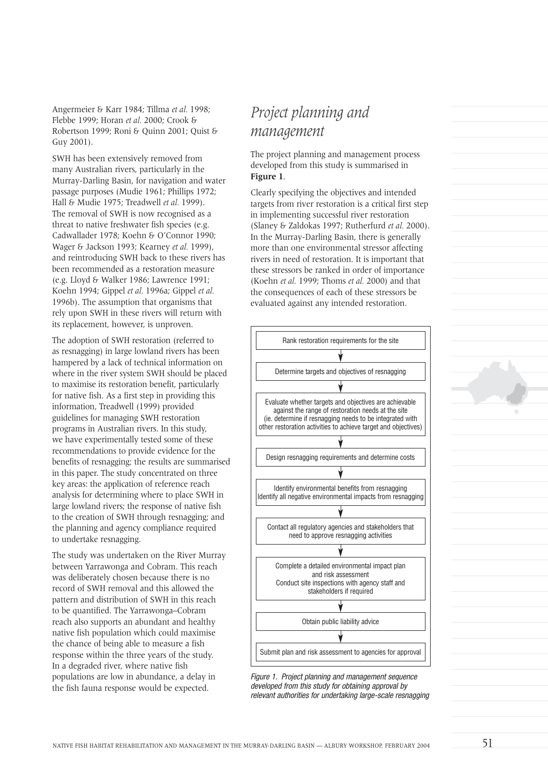Angermeier & Karr 1984; Tillma *et al.* 1998; Flebbe 1999; Horan *et al.* 2000; Crook & Robertson 1999; Roni & Quinn 2001; Quist & Guy 2001).

SWH has been extensively removed from many Australian rivers, particularly in the Murray-Darling Basin, for navigation and water passage purposes (Mudie 1961; Phillips 1972; Hall & Mudie 1975; Treadwell *et al.* 1999). The removal of SWH is now recognised as a threat to native freshwater fish species (e.g. Cadwallader 1978; Koehn & O'Connor 1990; Wager & Jackson 1993; Kearney *et al.* 1999), and reintroducing SWH back to these rivers has been recommended as a restoration measure (e.g. Lloyd & Walker 1986; Lawrence 1991; Koehn 1994; Gippel *et al.* 1996a; Gippel *et al.* 1996b). The assumption that organisms that rely upon SWH in these rivers will return with its replacement, however, is unproven.

The adoption of SWH restoration (referred to as resnagging) in large lowland rivers has been hampered by a lack of technical information on where in the river system SWH should be placed to maximise its restoration benefit, particularly for native fish. As a first step in providing this information, Treadwell (1999) provided guidelines for managing SWH restoration programs in Australian rivers. In this study, we have experimentally tested some of these recommendations to provide evidence for the benefits of resnagging; the results are summarised in this paper. The study concentrated on three key areas: the application of reference reach analysis for determining where to place SWH in large lowland rivers; the response of native fish to the creation of SWH through resnagging; and the planning and agency compliance required to undertake resnagging.

The study was undertaken on the River Murray between Yarrawonga and Cobram. This reach was deliberately chosen because there is no record of SWH removal and this allowed the pattern and distribution of SWH in this reach to be quantified. The Yarrawonga–Cobram reach also supports an abundant and healthy native fish population which could maximise the chance of being able to measure a fish response within the three years of the study. In a degraded river, where native fish populations are low in abundance, a delay in the fish fauna response would be expected.

# *Project planning and management*

The project planning and management process developed from this study is summarised in **Figure 1**.

Clearly specifying the objectives and intended targets from river restoration is a critical first step in implementing successful river restoration (Slaney & Zaldokas 1997; Rutherfurd *et al.* 2000). In the Murray-Darling Basin, there is generally more than one environmental stressor affecting rivers in need of restoration. It is important that these stressors be ranked in order of importance (Koehn *et al.* 1999; Thoms *et al.* 2000) and that the consequences of each of these stressors be evaluated against any intended restoration.



Figure 1. Project planning and management sequence developed from this study for obtaining approval by relevant authorities for undertaking large-scale resnagging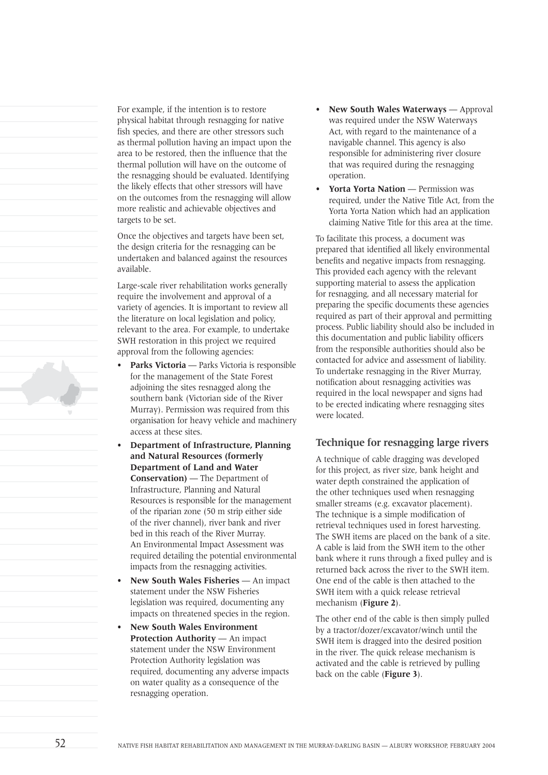For example, if the intention is to restore physical habitat through resnagging for native fish species, and there are other stressors such as thermal pollution having an impact upon the area to be restored, then the influence that the thermal pollution will have on the outcome of the resnagging should be evaluated. Identifying the likely effects that other stressors will have on the outcomes from the resnagging will allow more realistic and achievable objectives and targets to be set.

Once the objectives and targets have been set, the design criteria for the resnagging can be undertaken and balanced against the resources available.

Large-scale river rehabilitation works generally require the involvement and approval of a variety of agencies. It is important to review all the literature on local legislation and policy, relevant to the area. For example, to undertake SWH restoration in this project we required approval from the following agencies:

- Parks Victoria Parks Victoria is responsible for the management of the State Forest adjoining the sites resnagged along the southern bank (Victorian side of the River Murray). Permission was required from this organisation for heavy vehicle and machinery access at these sites.
- **Department of Infrastructure, Planning and Natural Resources (formerly Department of Land and Water Conservation)** — The Department of Infrastructure, Planning and Natural Resources is responsible for the management of the riparian zone (50 m strip either side of the river channel), river bank and river bed in this reach of the River Murray. An Environmental Impact Assessment was required detailing the potential environmental impacts from the resnagging activities.
- **New South Wales Fisheries** An impact statement under the NSW Fisheries legislation was required, documenting any impacts on threatened species in the region.
- **New South Wales Environment Protection Authority** — An impact statement under the NSW Environment Protection Authority legislation was required, documenting any adverse impacts on water quality as a consequence of the resnagging operation.
- **New South Wales Waterways** Approval was required under the NSW Waterways Act, with regard to the maintenance of a navigable channel. This agency is also responsible for administering river closure that was required during the resnagging operation.
- **Yorta Yorta Nation** Permission was required, under the Native Title Act, from the Yorta Yorta Nation which had an application claiming Native Title for this area at the time.

To facilitate this process, a document was prepared that identified all likely environmental benefits and negative impacts from resnagging. This provided each agency with the relevant supporting material to assess the application for resnagging, and all necessary material for preparing the specific documents these agencies required as part of their approval and permitting process. Public liability should also be included in this documentation and public liability officers from the responsible authorities should also be contacted for advice and assessment of liability. To undertake resnagging in the River Murray, notification about resnagging activities was required in the local newspaper and signs had to be erected indicating where resnagging sites were located.

## **Technique for resnagging large rivers**

A technique of cable dragging was developed for this project, as river size, bank height and water depth constrained the application of the other techniques used when resnagging smaller streams (e.g. excavator placement). The technique is a simple modification of retrieval techniques used in forest harvesting. The SWH items are placed on the bank of a site. A cable is laid from the SWH item to the other bank where it runs through a fixed pulley and is returned back across the river to the SWH item. One end of the cable is then attached to the SWH item with a quick release retrieval mechanism (**Figure 2**).

The other end of the cable is then simply pulled by a tractor/dozer/excavator/winch until the SWH item is dragged into the desired position in the river. The quick release mechanism is activated and the cable is retrieved by pulling back on the cable (**Figure 3**).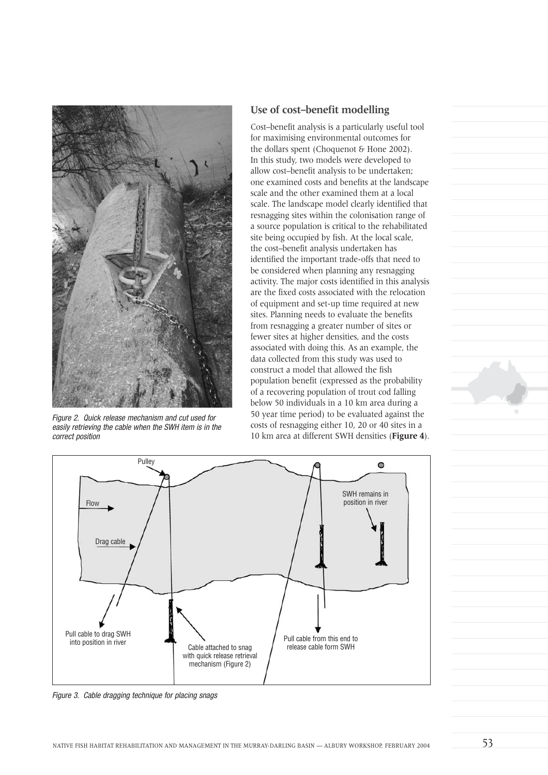

Figure 2. Quick release mechanism and cut used for easily retrieving the cable when the SWH item is in the correct position

## **Use of cost–benefit modelling**

Cost–benefit analysis is a particularly useful tool for maximising environmental outcomes for the dollars spent (Choquenot & Hone 2002). In this study, two models were developed to allow cost–benefit analysis to be undertaken; one examined costs and benefits at the landscape scale and the other examined them at a local scale. The landscape model clearly identified that resnagging sites within the colonisation range of a source population is critical to the rehabilitated site being occupied by fish. At the local scale, the cost–benefit analysis undertaken has identified the important trade-offs that need to be considered when planning any resnagging activity. The major costs identified in this analysis are the fixed costs associated with the relocation of equipment and set-up time required at new sites. Planning needs to evaluate the benefits from resnagging a greater number of sites or fewer sites at higher densities, and the costs associated with doing this. As an example, the data collected from this study was used to construct a model that allowed the fish population benefit (expressed as the probability of a recovering population of trout cod falling below 50 individuals in a 10 km area during a 50 year time period) to be evaluated against the costs of resnagging either 10, 20 or 40 sites in a 10 km area at different SWH densities (**Figure 4**).



Figure 3. Cable dragging technique for placing snags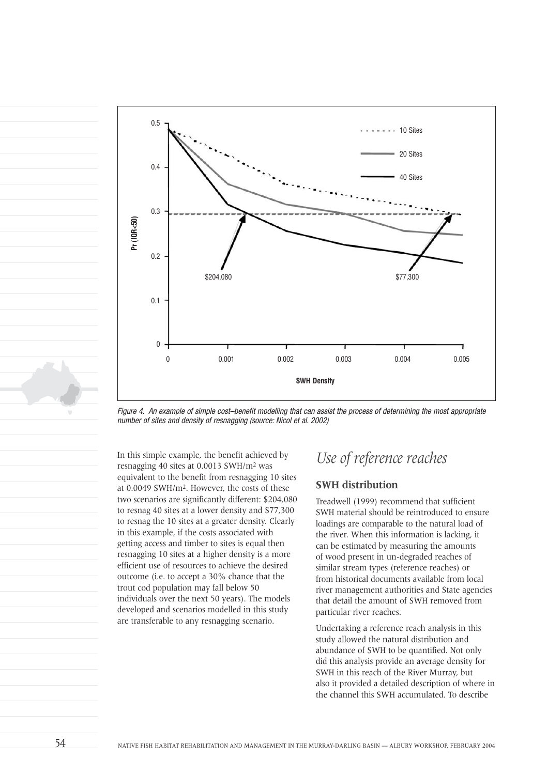

Figure 4. An example of simple cost–benefit modelling that can assist the process of determining the most appropriate number of sites and density of resnagging (source: Nicol et al. 2002)

In this simple example, the benefit achieved by resnagging 40 sites at 0.0013 SWH/m2 was equivalent to the benefit from resnagging 10 sites at 0.0049 SWH/m2. However, the costs of these two scenarios are significantly different: \$204,080 to resnag 40 sites at a lower density and \$77,300 to resnag the 10 sites at a greater density. Clearly in this example, if the costs associated with getting access and timber to sites is equal then resnagging 10 sites at a higher density is a more efficient use of resources to achieve the desired outcome (i.e. to accept a 30% chance that the trout cod population may fall below 50 individuals over the next 50 years). The models developed and scenarios modelled in this study are transferable to any resnagging scenario.

## *Use of reference reaches*

## **SWH distribution**

Treadwell (1999) recommend that sufficient SWH material should be reintroduced to ensure loadings are comparable to the natural load of the river. When this information is lacking, it can be estimated by measuring the amounts of wood present in un-degraded reaches of similar stream types (reference reaches) or from historical documents available from local river management authorities and State agencies that detail the amount of SWH removed from particular river reaches.

Undertaking a reference reach analysis in this study allowed the natural distribution and abundance of SWH to be quantified. Not only did this analysis provide an average density for SWH in this reach of the River Murray, but also it provided a detailed description of where in the channel this SWH accumulated. To describe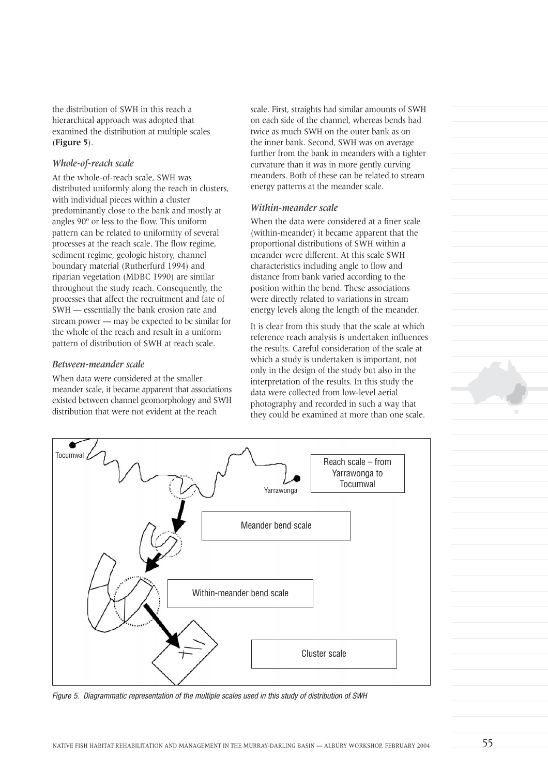the distribution of SWH in this reach a hierarchical approach was adopted that examined the distribution at multiple scales (**Figure 5**).

#### *Whole-of-reach scale*

At the whole-of-reach scale, SWH was distributed uniformly along the reach in clusters, with individual pieces within a cluster predominantly close to the bank and mostly at angles 90º or less to the flow. This uniform pattern can be related to uniformity of several processes at the reach scale. The flow regime, sediment regime, geologic history, channel boundary material (Rutherfurd 1994) and riparian vegetation (MDBC 1990) are similar throughout the study reach. Consequently, the processes that affect the recruitment and fate of SWH — essentially the bank erosion rate and stream power — may be expected to be similar for the whole of the reach and result in a uniform pattern of distribution of SWH at reach scale.

#### *Between-meander scale*

When data were considered at the smaller meander scale, it became apparent that associations existed between channel geomorphology and SWH distribution that were not evident at the reach

scale. First, straights had similar amounts of SWH on each side of the channel, whereas bends had twice as much SWH on the outer bank as on the inner bank. Second, SWH was on average further from the bank in meanders with a tighter curvature than it was in more gently curving meanders. Both of these can be related to stream energy patterns at the meander scale.

#### *Within-meander scale*

When the data were considered at a finer scale (within-meander) it became apparent that the proportional distributions of SWH within a meander were different. At this scale SWH characteristics including angle to flow and distance from bank varied according to the position within the bend. These associations were directly related to variations in stream energy levels along the length of the meander.

It is clear from this study that the scale at which reference reach analysis is undertaken influences the results. Careful consideration of the scale at which a study is undertaken is important, not only in the design of the study but also in the interpretation of the results. In this study the data were collected from low-level aerial photography and recorded in such a way that they could be examined at more than one scale.



Figure 5. Diagrammatic representation of the multiple scales used in this study of distribution of SWH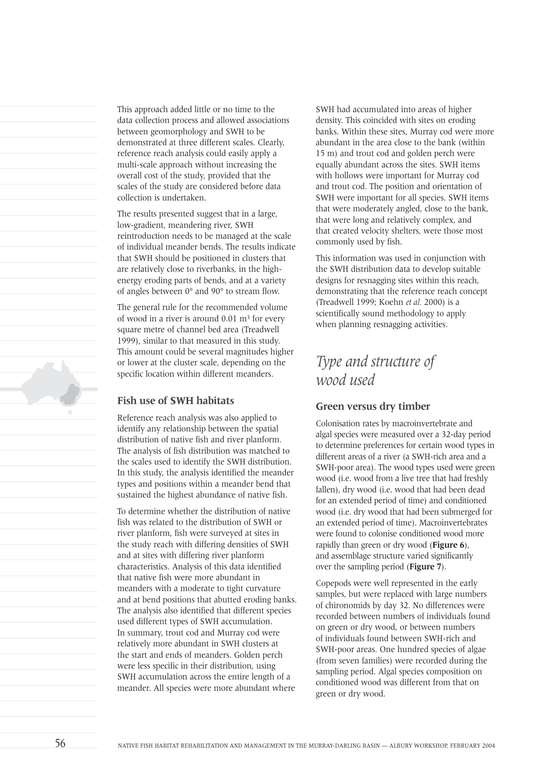This approach added little or no time to the data collection process and allowed associations between geomorphology and SWH to be demonstrated at three different scales. Clearly, reference reach analysis could easily apply a multi-scale approach without increasing the overall cost of the study, provided that the scales of the study are considered before data collection is undertaken. The results presented suggest that in a large, low-gradient, meandering river, SWH reintroduction needs to be managed at the scale

of individual meander bends. The results indicate that SWH should be positioned in clusters that are relatively close to riverbanks, in the highenergy eroding parts of bends, and at a variety of angles between 0° and 90° to stream flow.

The general rule for the recommended volume of wood in a river is around  $0.01 \text{ m}^3$  for every square metre of channel bed area (Treadwell 1999), similar to that measured in this study. This amount could be several magnitudes higher or lower at the cluster scale, depending on the specific location within different meanders.

## **Fish use of SWH habitats**

Reference reach analysis was also applied to identify any relationship between the spatial distribution of native fish and river planform. The analysis of fish distribution was matched to the scales used to identify the SWH distribution. In this study, the analysis identified the meander types and positions within a meander bend that sustained the highest abundance of native fish.

To determine whether the distribution of native fish was related to the distribution of SWH or river planform, fish were surveyed at sites in the study reach with differing densities of SWH and at sites with differing river planform characteristics. Analysis of this data identified that native fish were more abundant in meanders with a moderate to tight curvature and at bend positions that abutted eroding banks. The analysis also identified that different species used different types of SWH accumulation. In summary, trout cod and Murray cod were relatively more abundant in SWH clusters at the start and ends of meanders. Golden perch were less specific in their distribution, using SWH accumulation across the entire length of a meander. All species were more abundant where

SWH had accumulated into areas of higher density. This coincided with sites on eroding banks. Within these sites, Murray cod were more abundant in the area close to the bank (within 15 m) and trout cod and golden perch were equally abundant across the sites. SWH items with hollows were important for Murray cod and trout cod. The position and orientation of SWH were important for all species. SWH items that were moderately angled, close to the bank, that were long and relatively complex, and that created velocity shelters, were those most commonly used by fish.

This information was used in conjunction with the SWH distribution data to develop suitable designs for resnagging sites within this reach, demonstrating that the reference reach concept (Treadwell 1999; Koehn *et al.* 2000) is a scientifically sound methodology to apply when planning resnagging activities.

# *Type and structure of wood used*

## **Green versus dry timber**

Colonisation rates by macroinvertebrate and algal species were measured over a 32-day period to determine preferences for certain wood types in different areas of a river (a SWH-rich area and a SWH-poor area). The wood types used were green wood (i.e. wood from a live tree that had freshly fallen), dry wood (i.e. wood that had been dead for an extended period of time) and conditioned wood (i.e. dry wood that had been submerged for an extended period of time). Macroinvertebrates were found to colonise conditioned wood more rapidly than green or dry wood (**Figure 6**), and assemblage structure varied significantly over the sampling period (**Figure 7**).

Copepods were well represented in the early samples, but were replaced with large numbers of chironomids by day 32. No differences were recorded between numbers of individuals found on green or dry wood, or between numbers of individuals found between SWH-rich and SWH-poor areas. One hundred species of algae (from seven families) were recorded during the sampling period. Algal species composition on conditioned wood was different from that on green or dry wood.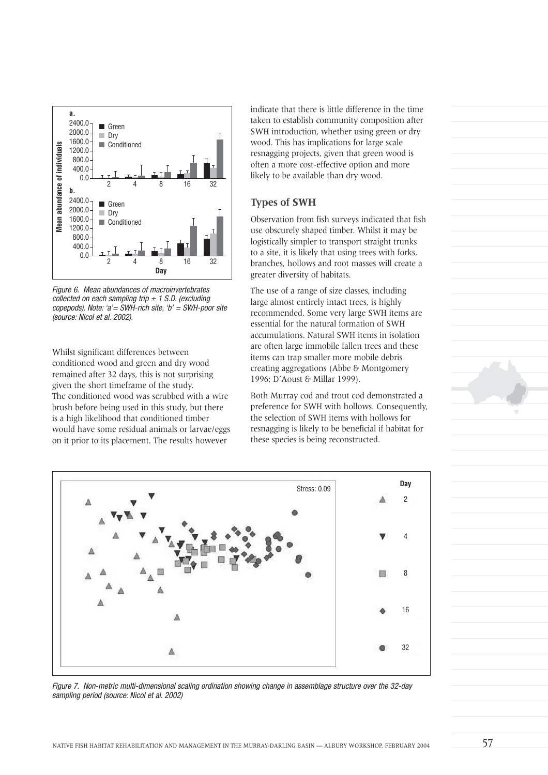

Figure 6. Mean abundances of macroinvertebrates collected on each sampling trip  $\pm$  1 S.D. (excluding copepods). Note: ' $a' = SWH$ -rich site, ' $b' = SWH$ -poor site (source: Nicol et al. 2002).

Whilst significant differences between conditioned wood and green and dry wood remained after 32 days, this is not surprising given the short timeframe of the study. The conditioned wood was scrubbed with a wire brush before being used in this study, but there is a high likelihood that conditioned timber would have some residual animals or larvae/eggs on it prior to its placement. The results however

indicate that there is little difference in the time taken to establish community composition after SWH introduction, whether using green or dry wood. This has implications for large scale resnagging projects, given that green wood is often a more cost-effective option and more likely to be available than dry wood.

### **Types of SWH**

Observation from fish surveys indicated that fish use obscurely shaped timber. Whilst it may be logistically simpler to transport straight trunks to a site, it is likely that using trees with forks, branches, hollows and root masses will create a greater diversity of habitats.

The use of a range of size classes, including large almost entirely intact trees, is highly recommended. Some very large SWH items are essential for the natural formation of SWH accumulations. Natural SWH items in isolation are often large immobile fallen trees and these items can trap smaller more mobile debris creating aggregations (Abbe & Montgomery 1996; D'Aoust & Millar 1999).

Both Murray cod and trout cod demonstrated a preference for SWH with hollows. Consequently, the selection of SWH items with hollows for resnagging is likely to be beneficial if habitat for these species is being reconstructed.



Figure 7. Non-metric multi-dimensional scaling ordination showing change in assemblage structure over the 32-day sampling period (source: Nicol et al. 2002)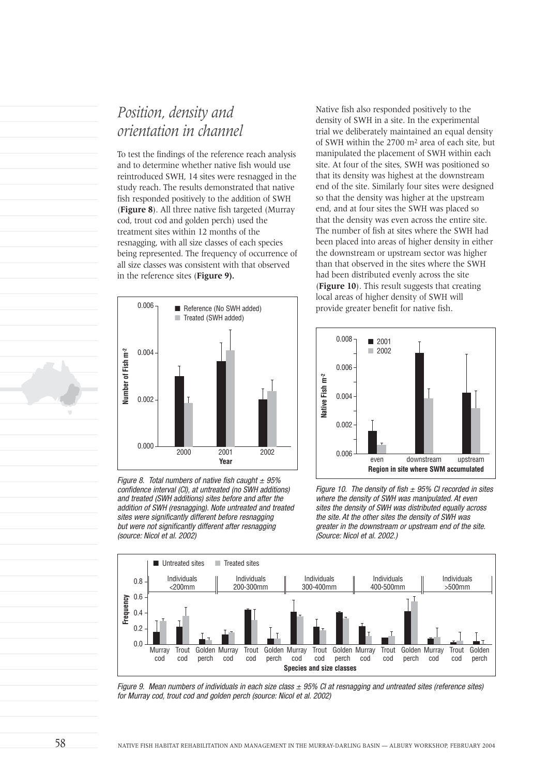## *Position, density and orientation in channel*

To test the findings of the reference reach analysis and to determine whether native fish would use reintroduced SWH, 14 sites were resnagged in the study reach. The results demonstrated that native fish responded positively to the addition of SWH (**Figure 8**). All three native fish targeted (Murray cod, trout cod and golden perch) used the treatment sites within 12 months of the resnagging, with all size classes of each species being represented. The frequency of occurrence of all size classes was consistent with that observed in the reference sites (**Figure 9).**



Figure 8. Total numbers of native fish caught  $\pm$  95% confidence interval (CI), at untreated (no SWH additions) and treated (SWH additions) sites before and after the addition of SWH (resnagging). Note untreated and treated sites were significantly different before resnagging but were not significantly different after resnagging (source: Nicol et al. 2002)

Native fish also responded positively to the density of SWH in a site. In the experimental trial we deliberately maintained an equal density of SWH within the 2700 m2 area of each site, but manipulated the placement of SWH within each site. At four of the sites, SWH was positioned so that its density was highest at the downstream end of the site. Similarly four sites were designed so that the density was higher at the upstream end, and at four sites the SWH was placed so that the density was even across the entire site. The number of fish at sites where the SWH had been placed into areas of higher density in either the downstream or upstream sector was higher than that observed in the sites where the SWH had been distributed evenly across the site (**Figure 10**). This result suggests that creating local areas of higher density of SWH will provide greater benefit for native fish.



Figure 10. The density of fish  $\pm$  95% CI recorded in sites where the density of SWH was manipulated. At even sites the density of SWH was distributed equally across the site. At the other sites the density of SWH was greater in the downstream or upstream end of the site. (Source: Nicol et al. 2002.)



Figure 9. Mean numbers of individuals in each size class  $\pm$  95% CI at resnagging and untreated sites (reference sites) for Murray cod, trout cod and golden perch (source: Nicol et al. 2002)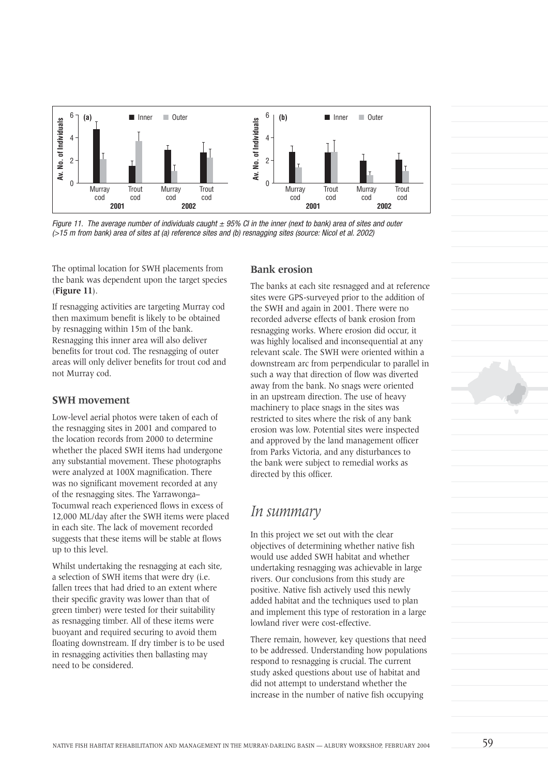

Figure 11. The average number of individuals caught  $\pm$  95% CI in the inner (next to bank) area of sites and outer

The optimal location for SWH placements from the bank was dependent upon the target species (**Figure 11**).

If resnagging activities are targeting Murray cod then maximum benefit is likely to be obtained by resnagging within 15m of the bank. Resnagging this inner area will also deliver benefits for trout cod. The resnagging of outer areas will only deliver benefits for trout cod and not Murray cod.

#### **SWH movement**

Low-level aerial photos were taken of each of the resnagging sites in 2001 and compared to the location records from 2000 to determine whether the placed SWH items had undergone any substantial movement. These photographs were analyzed at 100X magnification. There was no significant movement recorded at any of the resnagging sites. The Yarrawonga– Tocumwal reach experienced flows in excess of 12,000 ML/day after the SWH items were placed in each site. The lack of movement recorded suggests that these items will be stable at flows up to this level.

Whilst undertaking the resnagging at each site. a selection of SWH items that were dry (i.e. fallen trees that had dried to an extent where their specific gravity was lower than that of green timber) were tested for their suitability as resnagging timber. All of these items were buoyant and required securing to avoid them floating downstream. If dry timber is to be used in resnagging activities then ballasting may need to be considered.

## **Bank erosion**

The banks at each site resnagged and at reference sites were GPS-surveyed prior to the addition of the SWH and again in 2001. There were no recorded adverse effects of bank erosion from resnagging works. Where erosion did occur, it was highly localised and inconsequential at any relevant scale. The SWH were oriented within a downstream arc from perpendicular to parallel in such a way that direction of flow was diverted away from the bank. No snags were oriented in an upstream direction. The use of heavy machinery to place snags in the sites was restricted to sites where the risk of any bank erosion was low. Potential sites were inspected and approved by the land management officer from Parks Victoria, and any disturbances to the bank were subject to remedial works as directed by this officer.

## *In summary*

In this project we set out with the clear objectives of determining whether native fish would use added SWH habitat and whether undertaking resnagging was achievable in large rivers. Our conclusions from this study are positive. Native fish actively used this newly added habitat and the techniques used to plan and implement this type of restoration in a large lowland river were cost-effective.

There remain, however, key questions that need to be addressed. Understanding how populations respond to resnagging is crucial. The current study asked questions about use of habitat and did not attempt to understand whether the increase in the number of native fish occupying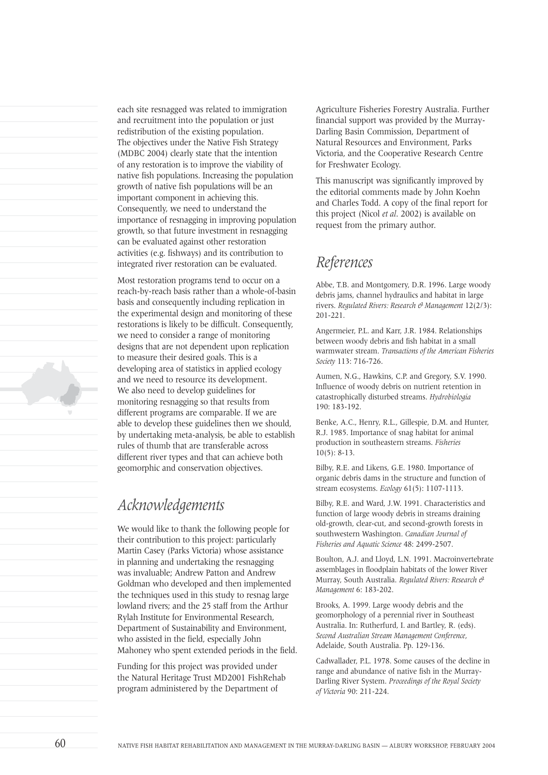each site resnagged was related to immigration and recruitment into the population or just redistribution of the existing population. The objectives under the Native Fish Strategy (MDBC 2004) clearly state that the intention of any restoration is to improve the viability of native fish populations. Increasing the population growth of native fish populations will be an important component in achieving this. Consequently, we need to understand the importance of resnagging in improving population growth, so that future investment in resnagging can be evaluated against other restoration activities (e.g. fishways) and its contribution to integrated river restoration can be evaluated.

Most restoration programs tend to occur on a reach-by-reach basis rather than a whole-of-basin basis and consequently including replication in the experimental design and monitoring of these restorations is likely to be difficult. Consequently, we need to consider a range of monitoring designs that are not dependent upon replication to measure their desired goals. This is a developing area of statistics in applied ecology and we need to resource its development. We also need to develop guidelines for monitoring resnagging so that results from different programs are comparable. If we are able to develop these guidelines then we should, by undertaking meta-analysis, be able to establish rules of thumb that are transferable across different river types and that can achieve both geomorphic and conservation objectives.

## *Acknowledgements*

We would like to thank the following people for their contribution to this project: particularly Martin Casey (Parks Victoria) whose assistance in planning and undertaking the resnagging was invaluable; Andrew Patton and Andrew Goldman who developed and then implemented the techniques used in this study to resnag large lowland rivers; and the 25 staff from the Arthur Rylah Institute for Environmental Research, Department of Sustainability and Environment, who assisted in the field, especially John Mahoney who spent extended periods in the field.

Funding for this project was provided under the Natural Heritage Trust MD2001 FishRehab program administered by the Department of

Agriculture Fisheries Forestry Australia. Further financial support was provided by the Murray-Darling Basin Commission, Department of Natural Resources and Environment, Parks Victoria, and the Cooperative Research Centre for Freshwater Ecology.

This manuscript was significantly improved by the editorial comments made by John Koehn and Charles Todd. A copy of the final report for this project (Nicol *et al*. 2002) is available on request from the primary author.

## *References*

Abbe, T.B. and Montgomery, D.R. 1996. Large woody debris jams, channel hydraulics and habitat in large rivers. *Regulated Rivers: Research & Management* 12(2/3): 201-221.

Angermeier, P.L. and Karr, J.R. 1984. Relationships between woody debris and fish habitat in a small warmwater stream. *Transactions of the American Fisheries Society* 113: 716-726.

Aumen, N.G., Hawkins, C.P. and Gregory, S.V. 1990. Influence of woody debris on nutrient retention in catastrophically disturbed streams. *Hydrobiologia* 190: 183-192.

Benke, A.C., Henry, R.L., Gillespie, D.M. and Hunter, R.J. 1985. Importance of snag habitat for animal production in southeastern streams. *Fisheries* 10(5): 8-13.

Bilby, R.E. and Likens, G.E. 1980. Importance of organic debris dams in the structure and function of stream ecosystems. *Ecology* 61(5): 1107-1113.

Bilby, R.E. and Ward, J.W. 1991. Characteristics and function of large woody debris in streams draining old-growth, clear-cut, and second-growth forests in southwestern Washington. *Canadian Journal of Fisheries and Aquatic Science* 48: 2499-2507.

Boulton, A.J. and Lloyd, L.N. 1991. Macroinvertebrate assemblages in floodplain habitats of the lower River Murray, South Australia. *Regulated Rivers: Research & Management* 6: 183-202.

Brooks, A. 1999. Large woody debris and the geomorphology of a perennial river in Southeast Australia. In: Rutherfurd, I. and Bartley, R. (eds). *Second Australian Stream Management Conference*, Adelaide, South Australia. Pp. 129-136.

Cadwallader, P.L. 1978. Some causes of the decline in range and abundance of native fish in the Murray-Darling River System. *Proceedings of the Royal Society of Victoria* 90: 211-224.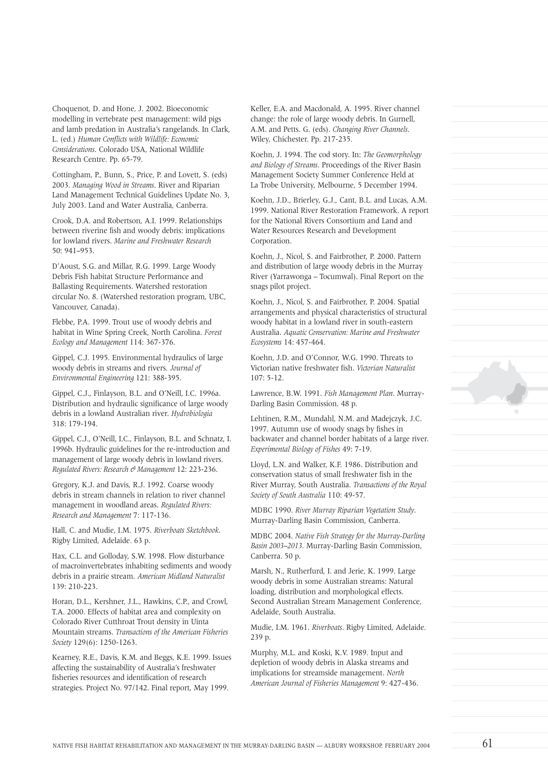Choquenot, D. and Hone, J. 2002. Bioeconomic modelling in vertebrate pest management: wild pigs and lamb predation in Australia's rangelands. In Clark, L. (ed.) *Human Conflicts with Wildlife: Economic Considerations*. Colorado USA, National Wildlife Research Centre. Pp. 65-79.

Cottingham, P., Bunn, S., Price, P. and Lovett, S. (eds) 2003. *Managing Wood in Streams*. River and Riparian Land Management Technical Guidelines Update No. 3, July 2003. Land and Water Australia, Canberra.

Crook, D.A. and Robertson, A.I. 1999. Relationships between riverine fish and woody debris: implications for lowland rivers. *Marine and Freshwater Research* 50: 941–953.

D'Aoust, S.G. and Millar, R.G. 1999. Large Woody Debris Fish habitat Structure Performance and Ballasting Requirements. Watershed restoration circular No. 8. (Watershed restoration program, UBC, Vancouver, Canada).

Flebbe, P.A. 1999. Trout use of woody debris and habitat in Wine Spring Creek, North Carolina. *Forest Ecology and Management* 114: 367-376.

Gippel, C.J. 1995. Environmental hydraulics of large woody debris in streams and rivers. *Journal of Environmental Engineering* 121: 388-395.

Gippel, C.J., Finlayson, B.L. and O'Neill, I.C. 1996a. Distribution and hydraulic significance of large woody debris in a lowland Australian river. *Hydrobiologia* 318: 179-194.

Gippel, C.J., O'Neill, I.C., Finlayson, B.L. and Schnatz, I. 1996b. Hydraulic guidelines for the re-introduction and management of large woody debris in lowland rivers. *Regulated Rivers: Research & Management* 12: 223-236.

Gregory, K.J. and Davis, R.J. 1992. Coarse woody debris in stream channels in relation to river channel management in woodland areas. *Regulated Rivers: Research and Management* 7: 117-136.

Hall, C. and Mudie, I.M. 1975. *Riverboats Sketchbook*. Rigby Limited, Adelaide. 63 p.

Hax, C.L. and Golloday, S.W. 1998. Flow disturbance of macroinvertebrates inhabiting sediments and woody debris in a prairie stream. *American Midland Naturalist* 139: 210-223.

Horan, D.L., Kershner, J.L., Hawkins, C.P., and Crowl, T.A. 2000. Effects of habitat area and complexity on Colorado River Cutthroat Trout density in Uinta Mountain streams. *Transactions of the American Fisheries Society* 129(6): 1250-1263.

Kearney, R.E., Davis, K.M. and Beggs, K.E. 1999. Issues affecting the sustainability of Australia's freshwater fisheries resources and identification of research strategies. Project No. 97/142. Final report, May 1999.

Keller, E.A. and Macdonald, A. 1995. River channel change: the role of large woody debris. In Gurnell, A.M. and Petts. G. (eds). *Changing River Channels*. Wiley, Chichester. Pp. 217-235.

Koehn, J. 1994. The cod story. In: *The Geomorphology and Biology of Streams*. Proceedings of the River Basin Management Society Summer Conference Held at La Trobe University, Melbourne, 5 December 1994.

Koehn, J.D., Brierley, G.J., Cant, B.L. and Lucas, A.M. 1999. National River Restoration Framework. A report for the National Rivers Consortium and Land and Water Resources Research and Development Corporation.

Koehn, J., Nicol, S. and Fairbrother, P. 2000. Pattern and distribution of large woody debris in the Murray River (Yarrawonga – Tocumwal). Final Report on the snags pilot project.

Koehn, J., Nicol, S. and Fairbrother, P. 2004. Spatial arrangements and physical characteristics of structural woody habitat in a lowland river in south-eastern Australia. *Aquatic Conservation: Marine and Freshwater Ecosystems* 14: 457-464.

Koehn, J.D. and O'Connor, W.G. 1990. Threats to Victorian native freshwater fish. *Victorian Naturalist* 107: 5-12.

Lawrence, B.W. 1991. *Fish Management Plan*. Murray-Darling Basin Commission. 48 p.

Lehtinen, R.M., Mundahl, N.M. and Madejczyk, J.C. 1997. Autumn use of woody snags by fishes in backwater and channel border habitats of a large river. *Experimental Biology of Fishes* 49: 7-19.

Lloyd, L.N. and Walker, K.F. 1986. Distribution and conservation status of small freshwater fish in the River Murray, South Australia. *Transactions of the Royal Society of South Australia* 110: 49-57.

MDBC 1990. *River Murray Riparian Vegetation Study*. Murray-Darling Basin Commission, Canberra.

MDBC 2004. *Native Fish Strategy for the Murray-Darling Basin 2003–2013*. Murray-Darling Basin Commission, Canberra. 50 p.

Marsh, N., Rutherfurd, I. and Jerie, K. 1999. Large woody debris in some Australian streams: Natural loading, distribution and morphological effects. Second Australian Stream Management Conference, Adelaide, South Australia.

Mudie, I.M. 1961. *Riverboats*. Rigby Limited, Adelaide. 239 p.

Murphy, M.L. and Koski, K.V. 1989. Input and depletion of woody debris in Alaska streams and implications for streamside management. *North American Journal of Fisheries Management* 9: 427-436.